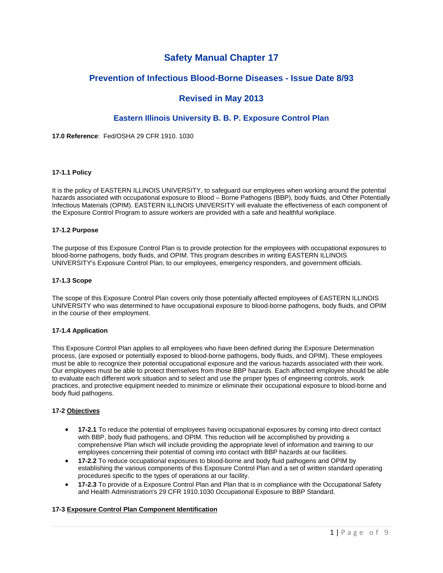# **Safety Manual Chapter 17**

# **Prevention of Infectious Blood-Borne Diseases - Issue Date 8/93**

# **Revised in May 2013**

# **Eastern Illinois University B. B. P. Exposure Control Plan**

**17.0 Reference**: Fed/OSHA 29 CFR 1910. 1030

### **17-1.1 Policy**

It is the policy of EASTERN ILLINOIS UNIVERSITY, to safeguard our employees when working around the potential hazards associated with occupational exposure to Blood – Borne Pathogens (BBP), body fluids, and Other Potentially Infectious Materials (OPIM). EASTERN ILLINOIS UNIVERSITY will evaluate the effectiveness of each component of the Exposure Control Program to assure workers are provided with a safe and healthful workplace.

## **17-1.2 Purpose**

The purpose of this Exposure Control Plan is to provide protection for the employees with occupational exposures to blood-borne pathogens, body fluids, and OPIM. This program describes in writing EASTERN ILLINOIS UNIVERSITY's Exposure Control Plan, to our employees, emergency responders, and government officials.

## **17-1.3 Scope**

The scope of this Exposure Control Plan covers only those potentially affected employees of EASTERN ILLINOIS UNIVERSITY who was determined to have occupational exposure to blood-borne pathogens, body fluids, and OPIM in the course of their employment.

#### **17-1.4 Application**

This Exposure Control Plan applies to all employees who have been defined during the Exposure Determination process, (are exposed or potentially exposed to blood-borne pathogens, body fluids, and OPIM). These employees must be able to recognize their potential occupational exposure and the various hazards associated with their work. Our employees must be able to protect themselves from those BBP hazards. Each affected employee should be able to evaluate each different work situation and to select and use the proper types of engineering controls, work practices, and protective equipment needed to minimize or eliminate their occupational exposure to blood-borne and body fluid pathogens.

# **17-2 Objectives**

- **17-2.1** To reduce the potential of employees having occupational exposures by coming into direct contact with BBP, body fluid pathogens, and OPIM. This reduction will be accomplished by providing a comprehensive Plan which will include providing the appropriate level of information and training to our employees concerning their potential of coming into contact with BBP hazards at our facilities.
- **17-2.2** To reduce occupational exposures to blood-borne and body fluid pathogens and OPIM by establishing the various components of this Exposure Control Plan and a set of written standard operating procedures specific to the types of operations at our facility.
- **17-2.3** To provide of a Exposure Control Plan and Plan that is in compliance with the Occupational Safety and Health Administration's 29 CFR 1910.1030 Occupational Exposure to BBP Standard.

# **17-3 Exposure Control Plan Component Identification**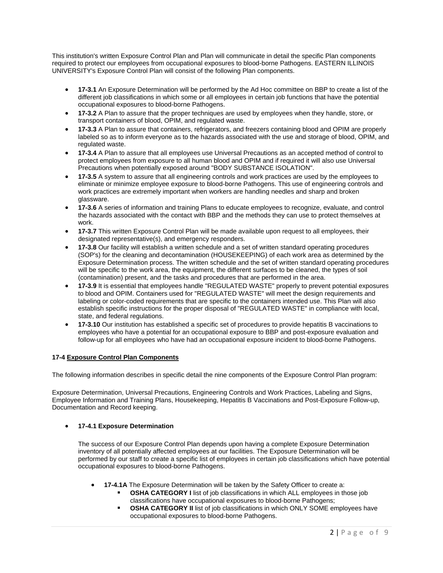This institution's written Exposure Control Plan and Plan will communicate in detail the specific Plan components required to protect our employees from occupational exposures to blood-borne Pathogens. EASTERN ILLINOIS UNIVERSITY's Exposure Control Plan will consist of the following Plan components.

- **17-3.1** An Exposure Determination will be performed by the Ad Hoc committee on BBP to create a list of the different job classifications in which some or all employees in certain job functions that have the potential occupational exposures to blood-borne Pathogens.
- **17-3.2** A Plan to assure that the proper techniques are used by employees when they handle, store, or transport containers of blood, OPIM, and regulated waste.
- **17-3.3** A Plan to assure that containers, refrigerators, and freezers containing blood and OPIM are properly labeled so as to inform everyone as to the hazards associated with the use and storage of blood, OPIM, and regulated waste.
- **17-3.4** A Plan to assure that all employees use Universal Precautions as an accepted method of control to protect employees from exposure to all human blood and OPIM and if required it will also use Universal Precautions when potentially exposed around "BODY SUBSTANCE ISOLATION".
- **17-3.5** A system to assure that all engineering controls and work practices are used by the employees to eliminate or minimize employee exposure to blood-borne Pathogens. This use of engineering controls and work practices are extremely important when workers are handling needles and sharp and broken glassware.
- **17-3.6** A series of information and training Plans to educate employees to recognize, evaluate, and control the hazards associated with the contact with BBP and the methods they can use to protect themselves at work.
- **17-3.7** This written Exposure Control Plan will be made available upon request to all employees, their designated representative(s), and emergency responders.
- **17-3.8** Our facility will establish a written schedule and a set of written standard operating procedures (SOP's) for the cleaning and decontamination (HOUSEKEEPING) of each work area as determined by the Exposure Determination process. The written schedule and the set of written standard operating procedures will be specific to the work area, the equipment, the different surfaces to be cleaned, the types of soil (contamination) present, and the tasks and procedures that are performed in the area.
- **17-3.9** It is essential that employees handle "REGULATED WASTE" properly to prevent potential exposures to blood and OPIM. Containers used for "REGULATED WASTE" will meet the design requirements and labeling or color-coded requirements that are specific to the containers intended use. This Plan will also establish specific instructions for the proper disposal of "REGULATED WASTE" in compliance with local, state, and federal regulations.
- **17-3.10** Our institution has established a specific set of procedures to provide hepatitis B vaccinations to employees who have a potential for an occupational exposure to BBP and post-exposure evaluation and follow-up for all employees who have had an occupational exposure incident to blood-borne Pathogens.

# **17-4 Exposure Control Plan Components**

The following information describes in specific detail the nine components of the Exposure Control Plan program:

Exposure Determination, Universal Precautions, Engineering Controls and Work Practices, Labeling and Signs, Employee Information and Training Plans, Housekeeping, Hepatitis B Vaccinations and Post-Exposure Follow-up, Documentation and Record keeping.

# **17-4.1 Exposure Determination**

The success of our Exposure Control Plan depends upon having a complete Exposure Determination inventory of all potentially affected employees at our facilities. The Exposure Determination will be performed by our staff to create a specific list of employees in certain job classifications which have potential occupational exposures to blood-borne Pathogens.

- **17-4.1A** The Exposure Determination will be taken by the Safety Officer to create a:
	- **OSHA CATEGORY I** list of job classifications in which ALL employees in those job classifications have occupational exposures to blood-borne Pathogens;
	- **OSHA CATEGORY II** list of job classifications in which ONLY SOME employees have occupational exposures to blood-borne Pathogens.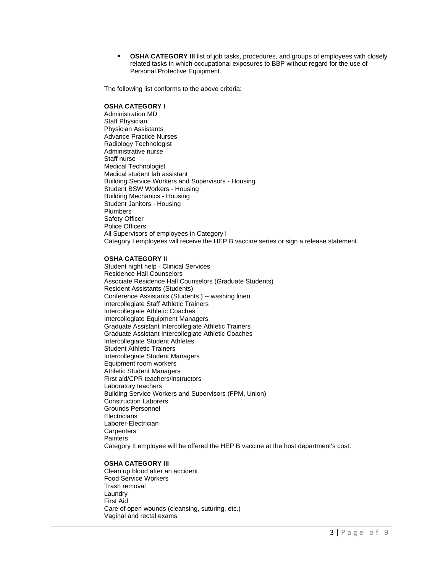**OSHA CATEGORY III** list of job tasks, procedures, and groups of employees with closely related tasks in which occupational exposures to BBP without regard for the use of Personal Protective Equipment.

The following list conforms to the above criteria:

#### **OSHA CATEGORY I**

Administration MD Staff Physician Physician Assistants Advance Practice Nurses Radiology Technologist Administrative nurse Staff nurse Medical Technologist Medical student lab assistant Building Service Workers and Supervisors - Housing Student BSW Workers - Housing Building Mechanics - Housing Student Janitors - Housing Plumbers Safety Officer Police Officers All Supervisors of employees in Category I Category I employees will receive the HEP B vaccine series or sign a release statement.

## **OSHA CATEGORY II**

Student night help - Clinical Services Residence Hall Counselors Associate Residence Hall Counselors (Graduate Students) Resident Assistants (Students) Conference Assistants (Students ) -- washing linen Intercollegiate Staff Athletic Trainers Intercollegiate Athletic Coaches Intercollegiate Equipment Managers Graduate Assistant Intercollegiate Athletic Trainers Graduate Assistant Intercollegiate Athletic Coaches Intercollegiate Student Athletes Student Athletic Trainers Intercollegiate Student Managers Equipment room workers Athletic Student Managers First aid/CPR teachers/instructors Laboratory teachers Building Service Workers and Supervisors (FPM, Union) Construction Laborers Grounds Personnel **Electricians** Laborer-Electrician **Carpenters Painters** Category II employee will be offered the HEP B vaccine at the host department's cost.

#### **OSHA CATEGORY III**

Clean up blood after an accident Food Service Workers Trash removal Laundry First Aid Care of open wounds (cleansing, suturing, etc.) Vaginal and rectal exams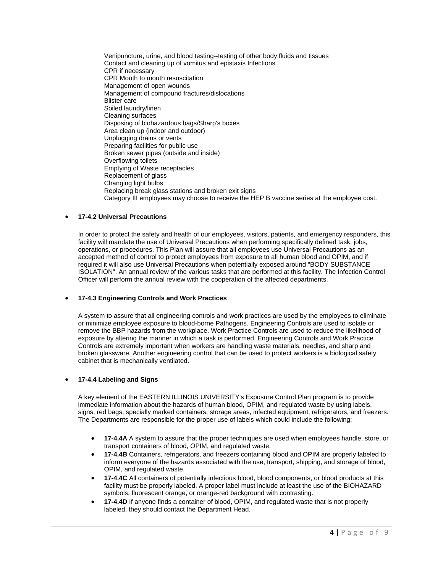Venipuncture, urine, and blood testing--testing of other body fluids and tissues Contact and cleaning up of vomitus and epistaxis Infections CPR if necessary CPR Mouth to mouth resuscitation Management of open wounds Management of compound fractures/dislocations Blister care Soiled laundry/linen Cleaning surfaces Disposing of biohazardous bags/Sharp's boxes Area clean up (indoor and outdoor) Unplugging drains or vents Preparing facilities for public use Broken sewer pipes (outside and inside) Overflowing toilets Emptying of Waste receptacles Replacement of glass Changing light bulbs Replacing break glass stations and broken exit signs Category III employees may choose to receive the HEP B vaccine series at the employee cost.

# **17-4.2 Universal Precautions**

In order to protect the safety and health of our employees, visitors, patients, and emergency responders, this facility will mandate the use of Universal Precautions when performing specifically defined task, jobs, operations, or procedures. This Plan will assure that all employees use Universal Precautions as an accepted method of control to protect employees from exposure to all human blood and OPIM, and if required it will also use Universal Precautions when potentially exposed around "BODY SUBSTANCE ISOLATION". An annual review of the various tasks that are performed at this facility. The Infection Control Officer will perform the annual review with the cooperation of the affected departments.

## **17-4.3 Engineering Controls and Work Practices**

A system to assure that all engineering controls and work practices are used by the employees to eliminate or minimize employee exposure to blood-borne Pathogens. Engineering Controls are used to isolate or remove the BBP hazards from the workplace. Work Practice Controls are used to reduce the likelihood of exposure by altering the manner in which a task is performed. Engineering Controls and Work Practice Controls are extremely important when workers are handling waste materials, needles, and sharp and broken glassware. Another engineering control that can be used to protect workers is a biological safety cabinet that is mechanically ventilated.

# **17-4.4 Labeling and Signs**

A key element of the EASTERN ILLINOIS UNIVERSITY's Exposure Control Plan program is to provide immediate information about the hazards of human blood, OPIM, and regulated waste by using labels, signs, red bags, specially marked containers, storage areas, infected equipment, refrigerators, and freezers. The Departments are responsible for the proper use of labels which could include the following:

- **17-4.4A** A system to assure that the proper techniques are used when employees handle, store, or transport containers of blood, OPIM, and regulated waste.
- **17-4.4B** Containers, refrigerators, and freezers containing blood and OPIM are properly labeled to inform everyone of the hazards associated with the use, transport, shipping, and storage of blood, OPIM, and regulated waste.
- **17-4.4C** All containers of potentially infectious blood, blood components, or blood products at this facility must be properly labeled. A proper label must include at least the use of the BIOHAZARD symbols, fluorescent orange, or orange-red background with contrasting.
- **17-4.4D** If anyone finds a container of blood, OPIM, and regulated waste that is not properly labeled, they should contact the Department Head.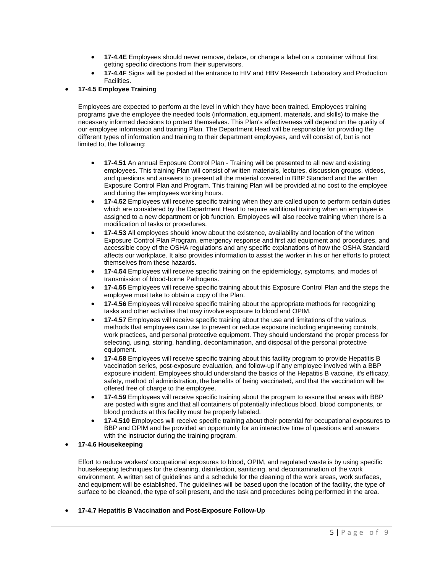- **17-4.4E** Employees should never remove, deface, or change a label on a container without first getting specific directions from their supervisors.
- **17-4.4F** Signs will be posted at the entrance to HIV and HBV Research Laboratory and Production Facilities.

# **17-4.5 Employee Training**

Employees are expected to perform at the level in which they have been trained. Employees training programs give the employee the needed tools (information, equipment, materials, and skills) to make the necessary informed decisions to protect themselves. This Plan's effectiveness will depend on the quality of our employee information and training Plan. The Department Head will be responsible for providing the different types of information and training to their department employees, and will consist of, but is not limited to, the following:

- **17-4.51** An annual Exposure Control Plan Training will be presented to all new and existing employees. This training Plan will consist of written materials, lectures, discussion groups, videos, and questions and answers to present all the material covered in BBP Standard and the written Exposure Control Plan and Program. This training Plan will be provided at no cost to the employee and during the employees working hours.
- **17-4.52** Employees will receive specific training when they are called upon to perform certain duties which are considered by the Department Head to require additional training when an employee is assigned to a new department or job function. Employees will also receive training when there is a modification of tasks or procedures.
- **17-4.53** All employees should know about the existence, availability and location of the written Exposure Control Plan Program, emergency response and first aid equipment and procedures, and accessible copy of the OSHA regulations and any specific explanations of how the OSHA Standard affects our workplace. It also provides information to assist the worker in his or her efforts to protect themselves from these hazards.
- **17-4.54** Employees will receive specific training on the epidemiology, symptoms, and modes of transmission of blood-borne Pathogens.
- **17-4.55** Employees will receive specific training about this Exposure Control Plan and the steps the employee must take to obtain a copy of the Plan.
- **17-4.56** Employees will receive specific training about the appropriate methods for recognizing tasks and other activities that may involve exposure to blood and OPIM.
- **17-4.57** Employees will receive specific training about the use and limitations of the various methods that employees can use to prevent or reduce exposure including engineering controls, work practices, and personal protective equipment. They should understand the proper process for selecting, using, storing, handling, decontamination, and disposal of the personal protective equipment.
- **17-4.58** Employees will receive specific training about this facility program to provide Hepatitis B vaccination series, post-exposure evaluation, and follow-up if any employee involved with a BBP exposure incident. Employees should understand the basics of the Hepatitis B vaccine, it's efficacy, safety, method of administration, the benefits of being vaccinated, and that the vaccination will be offered free of charge to the employee.
- **17-4.59** Employees will receive specific training about the program to assure that areas with BBP are posted with signs and that all containers of potentially infectious blood, blood components, or blood products at this facility must be properly labeled.
- **17-4.510** Employees will receive specific training about their potential for occupational exposures to BBP and OPIM and be provided an opportunity for an interactive time of questions and answers with the instructor during the training program.
- **17-4.6 Housekeeping**

Effort to reduce workers' occupational exposures to blood, OPIM, and regulated waste is by using specific housekeeping techniques for the cleaning, disinfection, sanitizing, and decontamination of the work environment. A written set of guidelines and a schedule for the cleaning of the work areas, work surfaces, and equipment will be established. The guidelines will be based upon the location of the facility, the type of surface to be cleaned, the type of soil present, and the task and procedures being performed in the area.

**17-4.7 Hepatitis B Vaccination and Post-Exposure Follow-Up**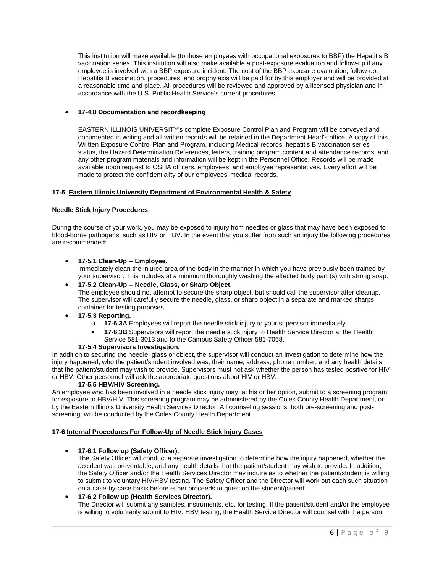This institution will make available (to those employees with occupational exposures to BBP) the Hepatitis B vaccination series. This institution will also make available a post-exposure evaluation and follow-up if any employee is involved with a BBP exposure incident. The cost of the BBP exposure evaluation, follow-up, Hepatitis B vaccination, procedures, and prophylaxis will be paid for by this employer and will be provided at a reasonable time and place. All procedures will be reviewed and approved by a licensed physician and in accordance with the U.S. Public Health Service's current procedures.

## **17-4.8 Documentation and recordkeeping**

EASTERN ILLINOIS UNIVERSITY's complete Exposure Control Plan and Program will be conveyed and documented in writing and all written records will be retained in the Department Head's office. A copy of this Written Exposure Control Plan and Program, including Medical records, hepatitis B vaccination series status, the Hazard Determination References, letters, training program content and attendance records, and any other program materials and information will be kept in the Personnel Office. Records will be made available upon request to OSHA officers, employees, and employee representatives. Every effort will be made to protect the confidentiality of our employees' medical records.

### **17-5 Eastern Illinois University Department of Environmental Health & Safety**

#### **Needle Stick Injury Procedures**

During the course of your work, you may be exposed to injury from needles or glass that may have been exposed to blood-borne pathogens, such as HIV or HBV. In the event that you suffer from such an injury the following procedures are recommended:

## **17-5.1 Clean-Up -- Employee.**

Immediately clean the injured area of the body in the manner in which you have previously been trained by your supervisor. This includes at a minimum thoroughly washing the affected body part (s) with strong soap.

## **17-5.2 Clean-Up -- Needle, Glass, or Sharp Object.**

The employee should not attempt to secure the sharp object, but should call the supervisor after cleanup. The supervisor will carefully secure the needle, glass, or sharp object in a separate and marked sharps container for testing purposes.

# **17-5.3 Reporting.**

- o **17-6.3A** Employees will report the needle stick injury to your supervisor immediately.
- **17-6.3B** Supervisors will report the needle stick injury to Health Service Director at the Health Service 581-3013 and to the Campus Safety Officer 581-7068.

# **17-5.4 Supervisors Investigation.**

In addition to securing the needle, glass or object, the supervisor will conduct an investigation to determine how the injury happened, who the patient/student involved was, their name, address, phone number, and any health details that the patient/student may wish to provide. Supervisors must not ask whether the person has tested positive for HIV or HBV. Other personnel will ask the appropriate questions about HIV or HBV.

# **17-5.5 HBV/HIV Screening.**

An employee who has been involved in a needle stick injury may, at his or her option, submit to a screening program for exposure to HBV/HIV. This screening program may be administered by the Coles County Health Department, or by the Eastern Illinois University Health Services Director. All counseling sessions, both pre-screening and postscreening, will be conducted by the Coles County Health Department.

#### **17-6 Internal Procedures For Follow-Up of Needle Stick Injury Cases**

# **17-6.1 Follow up (Safety Officer).**

The Safety Officer will conduct a separate investigation to determine how the injury happened, whether the accident was preventable, and any health details that the patient/student may wish to provide. In addition, the Safety Officer and/or the Health Services Director may inquire as to whether the patient/student is willing to submit to voluntary HIV/HBV testing. The Safety Officer and the Director will work out each such situation on a case-by-case basis before either proceeds to question the student/patient.

# **17-6.2 Follow up (Health Services Director).**

The Director will submit any samples, instruments, etc. for testing. If the patient/student and/or the employee is willing to voluntarily submit to HIV, HBV testing, the Health Service Director will counsel with the person,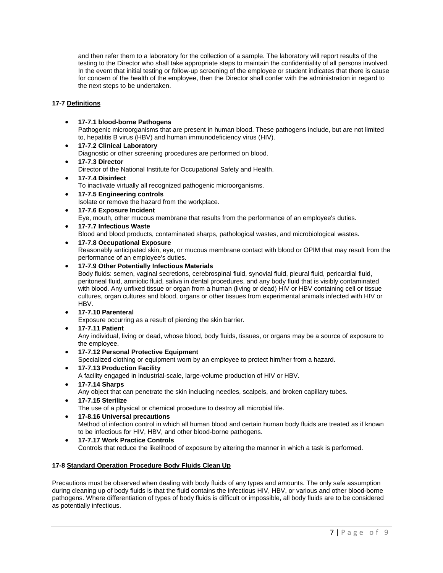and then refer them to a laboratory for the collection of a sample. The laboratory will report results of the testing to the Director who shall take appropriate steps to maintain the confidentiality of all persons involved. In the event that initial testing or follow-up screening of the employee or student indicates that there is cause for concern of the health of the employee, then the Director shall confer with the administration in regard to the next steps to be undertaken.

# **17-7 Definitions**

**17-7.1 blood-borne Pathogens**

Pathogenic microorganisms that are present in human blood. These pathogens include, but are not limited to, hepatitis B virus (HBV) and human immunodeficiency virus (HIV).

- **17-7.2 Clinical Laboratory** Diagnostic or other screening procedures are performed on blood.
- **17-7.3 Director** Director of the National Institute for Occupational Safety and Health.
- **17-7.4 Disinfect** To inactivate virtually all recognized pathogenic microorganisms.
- **17-7.5 Engineering controls** Isolate or remove the hazard from the workplace. **17-7.6 Exposure Incident**
	- Eye, mouth, other mucous membrane that results from the performance of an employee's duties.
- **17-7.7 Infectious Waste** Blood and blood products, contaminated sharps, pathological wastes, and microbiological wastes.
- **17-7.8 Occupational Exposure**

Reasonably anticipated skin, eye, or mucous membrane contact with blood or OPIM that may result from the performance of an employee's duties.

**17-7.9 Other Potentially Infectious Materials**

Body fluids: semen, vaginal secretions, cerebrospinal fluid, synovial fluid, pleural fluid, pericardial fluid, peritoneal fluid, amniotic fluid, saliva in dental procedures, and any body fluid that is visibly contaminated with blood. Any unfixed tissue or organ from a human (living or dead) HIV or HBV containing cell or tissue cultures, organ cultures and blood, organs or other tissues from experimental animals infected with HIV or HBV.

**17-7.10 Parenteral**

Exposure occurring as a result of piercing the skin barrier.

**17-7.11 Patient**

Any individual, living or dead, whose blood, body fluids, tissues, or organs may be a source of exposure to the employee.

**17-7.12 Personal Protective Equipment**

Specialized clothing or equipment worn by an employee to protect him/her from a hazard.

- **17-7.13 Production Facility** A facility engaged in industrial-scale, large-volume production of HIV or HBV.
- **17-7.14 Sharps**

Any object that can penetrate the skin including needles, scalpels, and broken capillary tubes.

**17-7.15 Sterilize** 

The use of a physical or chemical procedure to destroy all microbial life.

- **17-8.16 Universal precautions**  Method of infection control in which all human blood and certain human body fluids are treated as if known to be infectious for HIV, HBV, and other blood-borne pathogens.
- **17-7.17 Work Practice Controls** Controls that reduce the likelihood of exposure by altering the manner in which a task is performed.

# **17-8 Standard Operation Procedure Body Fluids Clean Up**

Precautions must be observed when dealing with body fluids of any types and amounts. The only safe assumption during cleaning up of body fluids is that the fluid contains the infectious HIV, HBV, or various and other blood-borne pathogens. Where differentiation of types of body fluids is difficult or impossible, all body fluids are to be considered as potentially infectious.